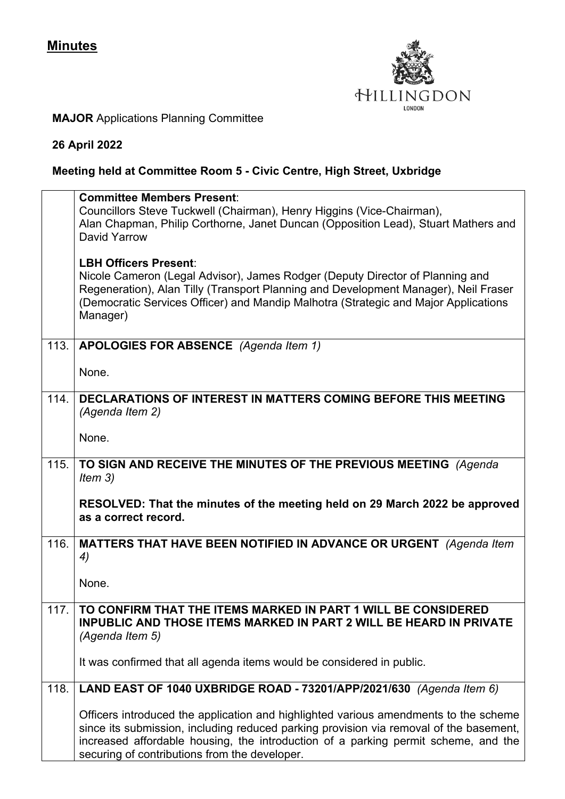

## **MAJOR** Applications Planning Committee

## **26 April 2022**

## **Meeting held at Committee Room 5 - Civic Centre, High Street, Uxbridge**

|      | <b>Committee Members Present:</b><br>Councillors Steve Tuckwell (Chairman), Henry Higgins (Vice-Chairman),<br>Alan Chapman, Philip Corthorne, Janet Duncan (Opposition Lead), Stuart Mathers and<br>David Yarrow<br><b>LBH Officers Present:</b><br>Nicole Cameron (Legal Advisor), James Rodger (Deputy Director of Planning and<br>Regeneration), Alan Tilly (Transport Planning and Development Manager), Neil Fraser<br>(Democratic Services Officer) and Mandip Malhotra (Strategic and Major Applications<br>Manager) |
|------|-----------------------------------------------------------------------------------------------------------------------------------------------------------------------------------------------------------------------------------------------------------------------------------------------------------------------------------------------------------------------------------------------------------------------------------------------------------------------------------------------------------------------------|
| 113. |                                                                                                                                                                                                                                                                                                                                                                                                                                                                                                                             |
|      | APOLOGIES FOR ABSENCE (Agenda Item 1)                                                                                                                                                                                                                                                                                                                                                                                                                                                                                       |
|      | None.                                                                                                                                                                                                                                                                                                                                                                                                                                                                                                                       |
| 114. | DECLARATIONS OF INTEREST IN MATTERS COMING BEFORE THIS MEETING                                                                                                                                                                                                                                                                                                                                                                                                                                                              |
|      | (Agenda Item 2)                                                                                                                                                                                                                                                                                                                                                                                                                                                                                                             |
|      | None.                                                                                                                                                                                                                                                                                                                                                                                                                                                                                                                       |
|      |                                                                                                                                                                                                                                                                                                                                                                                                                                                                                                                             |
| 115. | TO SIGN AND RECEIVE THE MINUTES OF THE PREVIOUS MEETING (Agenda<br><i>Item 3)</i>                                                                                                                                                                                                                                                                                                                                                                                                                                           |
|      | RESOLVED: That the minutes of the meeting held on 29 March 2022 be approved<br>as a correct record.                                                                                                                                                                                                                                                                                                                                                                                                                         |
| 116. | MATTERS THAT HAVE BEEN NOTIFIED IN ADVANCE OR URGENT (Agenda Item                                                                                                                                                                                                                                                                                                                                                                                                                                                           |
|      | 4)                                                                                                                                                                                                                                                                                                                                                                                                                                                                                                                          |
|      | None.                                                                                                                                                                                                                                                                                                                                                                                                                                                                                                                       |
| 117. | TO CONFIRM THAT THE ITEMS MARKED IN PART 1 WILL BE CONSIDERED<br>INPUBLIC AND THOSE ITEMS MARKED IN PART 2 WILL BE HEARD IN PRIVATE<br>(Agenda Item 5)                                                                                                                                                                                                                                                                                                                                                                      |
|      | It was confirmed that all agenda items would be considered in public.                                                                                                                                                                                                                                                                                                                                                                                                                                                       |
| 118. | LAND EAST OF 1040 UXBRIDGE ROAD - 73201/APP/2021/630 (Agenda Item 6)                                                                                                                                                                                                                                                                                                                                                                                                                                                        |
|      | Officers introduced the application and highlighted various amendments to the scheme<br>since its submission, including reduced parking provision via removal of the basement,<br>increased affordable housing, the introduction of a parking permit scheme, and the<br>securing of contributions from the developer.                                                                                                                                                                                                       |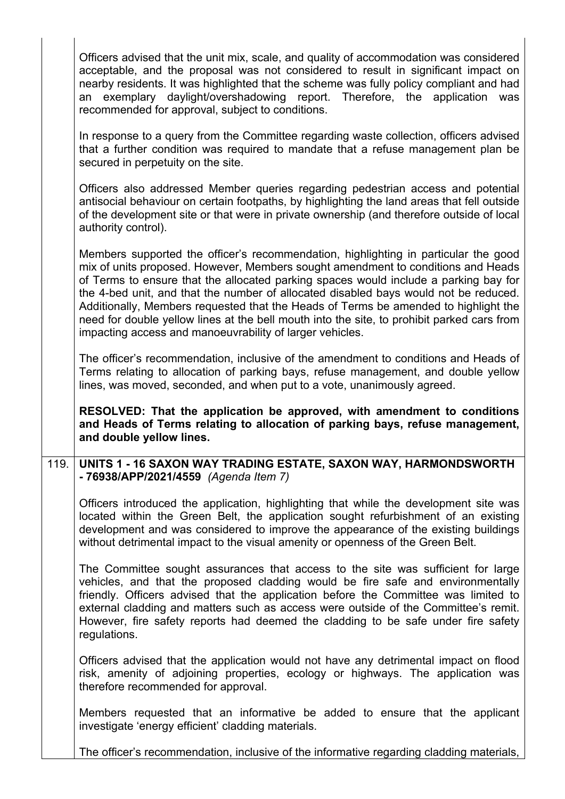|      | Officers advised that the unit mix, scale, and quality of accommodation was considered<br>acceptable, and the proposal was not considered to result in significant impact on<br>nearby residents. It was highlighted that the scheme was fully policy compliant and had<br>an exemplary daylight/overshadowing report. Therefore, the application<br>was<br>recommended for approval, subject to conditions.                                                                                                                                                                                             |
|------|----------------------------------------------------------------------------------------------------------------------------------------------------------------------------------------------------------------------------------------------------------------------------------------------------------------------------------------------------------------------------------------------------------------------------------------------------------------------------------------------------------------------------------------------------------------------------------------------------------|
|      | In response to a query from the Committee regarding waste collection, officers advised<br>that a further condition was required to mandate that a refuse management plan be<br>secured in perpetuity on the site.                                                                                                                                                                                                                                                                                                                                                                                        |
|      | Officers also addressed Member queries regarding pedestrian access and potential<br>antisocial behaviour on certain footpaths, by highlighting the land areas that fell outside<br>of the development site or that were in private ownership (and therefore outside of local<br>authority control).                                                                                                                                                                                                                                                                                                      |
|      | Members supported the officer's recommendation, highlighting in particular the good<br>mix of units proposed. However, Members sought amendment to conditions and Heads<br>of Terms to ensure that the allocated parking spaces would include a parking bay for<br>the 4-bed unit, and that the number of allocated disabled bays would not be reduced.<br>Additionally, Members requested that the Heads of Terms be amended to highlight the<br>need for double yellow lines at the bell mouth into the site, to prohibit parked cars from<br>impacting access and manoeuvrability of larger vehicles. |
|      | The officer's recommendation, inclusive of the amendment to conditions and Heads of<br>Terms relating to allocation of parking bays, refuse management, and double yellow<br>lines, was moved, seconded, and when put to a vote, unanimously agreed.                                                                                                                                                                                                                                                                                                                                                     |
|      |                                                                                                                                                                                                                                                                                                                                                                                                                                                                                                                                                                                                          |
|      | RESOLVED: That the application be approved, with amendment to conditions<br>and Heads of Terms relating to allocation of parking bays, refuse management,<br>and double yellow lines.                                                                                                                                                                                                                                                                                                                                                                                                                    |
| 119. | UNITS 1 - 16 SAXON WAY TRADING ESTATE, SAXON WAY, HARMONDSWORTH<br>- 76938/APP/2021/4559 (Agenda Item 7)                                                                                                                                                                                                                                                                                                                                                                                                                                                                                                 |
|      | Officers introduced the application, highlighting that while the development site was<br>located within the Green Belt, the application sought refurbishment of an existing<br>development and was considered to improve the appearance of the existing buildings<br>without detrimental impact to the visual amenity or openness of the Green Belt.                                                                                                                                                                                                                                                     |
|      | The Committee sought assurances that access to the site was sufficient for large<br>vehicles, and that the proposed cladding would be fire safe and environmentally<br>friendly. Officers advised that the application before the Committee was limited to<br>external cladding and matters such as access were outside of the Committee's remit.<br>However, fire safety reports had deemed the cladding to be safe under fire safety<br>regulations.                                                                                                                                                   |
|      | Officers advised that the application would not have any detrimental impact on flood<br>risk, amenity of adjoining properties, ecology or highways. The application was<br>therefore recommended for approval.                                                                                                                                                                                                                                                                                                                                                                                           |
|      | Members requested that an informative be added to ensure that the applicant<br>investigate 'energy efficient' cladding materials.                                                                                                                                                                                                                                                                                                                                                                                                                                                                        |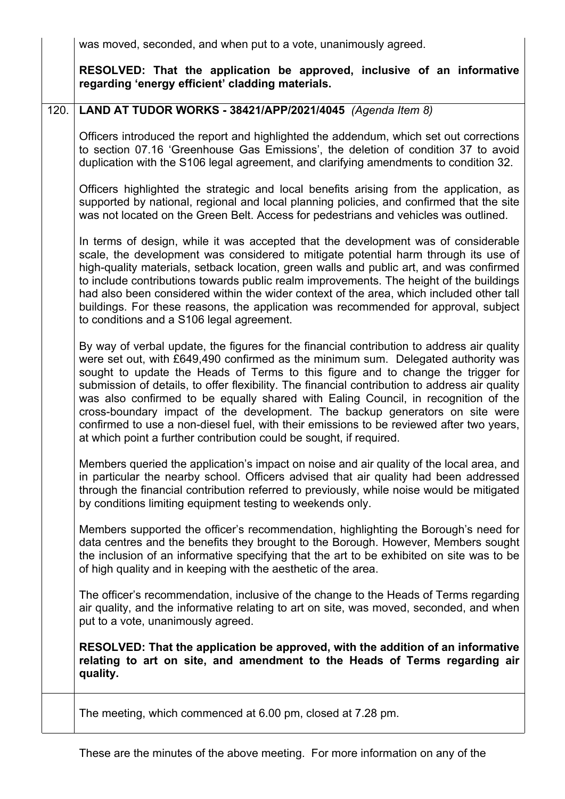|      | was moved, seconded, and when put to a vote, unanimously agreed.                                                                                                                                                                                                                                                                                                                                                                                                                                                                                                                                                                                                                                               |
|------|----------------------------------------------------------------------------------------------------------------------------------------------------------------------------------------------------------------------------------------------------------------------------------------------------------------------------------------------------------------------------------------------------------------------------------------------------------------------------------------------------------------------------------------------------------------------------------------------------------------------------------------------------------------------------------------------------------------|
|      | RESOLVED: That the application be approved, inclusive of an informative<br>regarding 'energy efficient' cladding materials.                                                                                                                                                                                                                                                                                                                                                                                                                                                                                                                                                                                    |
| 120. | LAND AT TUDOR WORKS - 38421/APP/2021/4045 (Agenda Item 8)                                                                                                                                                                                                                                                                                                                                                                                                                                                                                                                                                                                                                                                      |
|      | Officers introduced the report and highlighted the addendum, which set out corrections<br>to section 07.16 'Greenhouse Gas Emissions', the deletion of condition 37 to avoid<br>duplication with the S106 legal agreement, and clarifying amendments to condition 32.                                                                                                                                                                                                                                                                                                                                                                                                                                          |
|      | Officers highlighted the strategic and local benefits arising from the application, as<br>supported by national, regional and local planning policies, and confirmed that the site<br>was not located on the Green Belt. Access for pedestrians and vehicles was outlined.                                                                                                                                                                                                                                                                                                                                                                                                                                     |
|      | In terms of design, while it was accepted that the development was of considerable<br>scale, the development was considered to mitigate potential harm through its use of<br>high-quality materials, setback location, green walls and public art, and was confirmed<br>to include contributions towards public realm improvements. The height of the buildings<br>had also been considered within the wider context of the area, which included other tall<br>buildings. For these reasons, the application was recommended for approval, subject<br>to conditions and a S106 legal agreement.                                                                                                                |
|      | By way of verbal update, the figures for the financial contribution to address air quality<br>were set out, with £649,490 confirmed as the minimum sum. Delegated authority was<br>sought to update the Heads of Terms to this figure and to change the trigger for<br>submission of details, to offer flexibility. The financial contribution to address air quality<br>was also confirmed to be equally shared with Ealing Council, in recognition of the<br>cross-boundary impact of the development. The backup generators on site were<br>confirmed to use a non-diesel fuel, with their emissions to be reviewed after two years,<br>at which point a further contribution could be sought, if required. |
|      | Members queried the application's impact on noise and air quality of the local area, and<br>in particular the nearby school. Officers advised that air quality had been addressed<br>through the financial contribution referred to previously, while noise would be mitigated<br>by conditions limiting equipment testing to weekends only.                                                                                                                                                                                                                                                                                                                                                                   |
|      | Members supported the officer's recommendation, highlighting the Borough's need for<br>data centres and the benefits they brought to the Borough. However, Members sought<br>the inclusion of an informative specifying that the art to be exhibited on site was to be<br>of high quality and in keeping with the aesthetic of the area.                                                                                                                                                                                                                                                                                                                                                                       |
|      | The officer's recommendation, inclusive of the change to the Heads of Terms regarding<br>air quality, and the informative relating to art on site, was moved, seconded, and when<br>put to a vote, unanimously agreed.                                                                                                                                                                                                                                                                                                                                                                                                                                                                                         |
|      | RESOLVED: That the application be approved, with the addition of an informative<br>relating to art on site, and amendment to the Heads of Terms regarding air<br>quality.                                                                                                                                                                                                                                                                                                                                                                                                                                                                                                                                      |
|      | The meeting, which commenced at 6.00 pm, closed at 7.28 pm.                                                                                                                                                                                                                                                                                                                                                                                                                                                                                                                                                                                                                                                    |